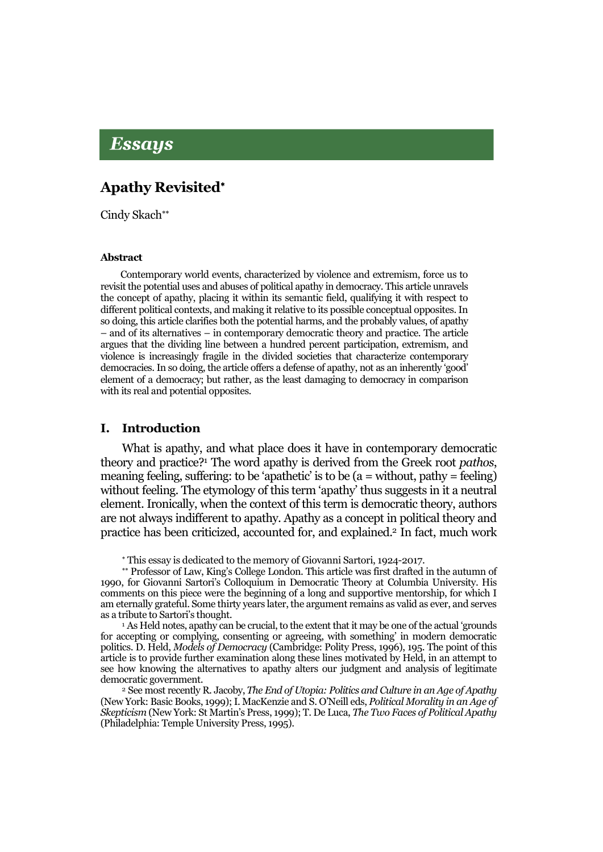# Essays

## Apathy Revisited

Cindy Skach\*\*

#### Abstract

Contemporary world events, characterized by violence and extremism, force us to revisit the potential uses and abuses of political apathy in democracy. This article unravels the concept of apathy, placing it within its semantic field, qualifying it with respect to different political contexts, and making it relative to its possible conceptual opposites. In so doing, this article clarifies both the potential harms, and the probably values, of apathy – and of its alternatives – in contemporary democratic theory and practice. The article argues that the dividing line between a hundred percent participation, extremism, and violence is increasingly fragile in the divided societies that characterize contemporary democracies. In so doing, the article offers a defense of apathy, not as an inherently 'good' element of a democracy; but rather, as the least damaging to democracy in comparison with its real and potential opposites.

#### I. Introduction

What is apathy, and what place does it have in contemporary democratic theory and practice?1 The word apathy is derived from the Greek root *pathos*, meaning feeling, suffering: to be 'apathetic' is to be  $(a = \text{without}, \text{pathy} = \text{feeling})$ without feeling. The etymology of this term 'apathy' thus suggests in it a neutral element. Ironically, when the context of this term is democratic theory, authors are not always indifferent to apathy. Apathy as a concept in political theory and practice has been criticized, accounted for, and explained.2 In fact, much work

This essay is dedicated to the memory of Giovanni Sartori, 1924-2017.

\*\* Professor of Law, King's College London. This article was first drafted in the autumn of 1990, for Giovanni Sartori's Colloquium in Democratic Theory at Columbia University. His comments on this piece were the beginning of a long and supportive mentorship, for which I am eternally grateful. Some thirty years later, the argument remains as valid as ever, and serves as a tribute to Sartori's thought.

<sup>1</sup> As Held notes, apathy can be crucial, to the extent that it may be one of the actual 'grounds for accepting or complying, consenting or agreeing, with something' in modern democratic politics. D. Held, *Models of Democracy* (Cambridge: Polity Press, 1996), 195. The point of this article is to provide further examination along these lines motivated by Held, in an attempt to see how knowing the alternatives to apathy alters our judgment and analysis of legitimate democratic government.

<sup>2</sup> See most recently R. Jacoby, *The End of Utopia: Politics and Culture in an Age of Apathy* (New York: Basic Books, 1999); I. MacKenzie and S. O'Neill eds, *Political Morality in an Age of Skepticism* (New York: St Martin's Press, 1999); T. De Luca, *The Two Faces of Political Apathy* (Philadelphia: Temple University Press, 1995).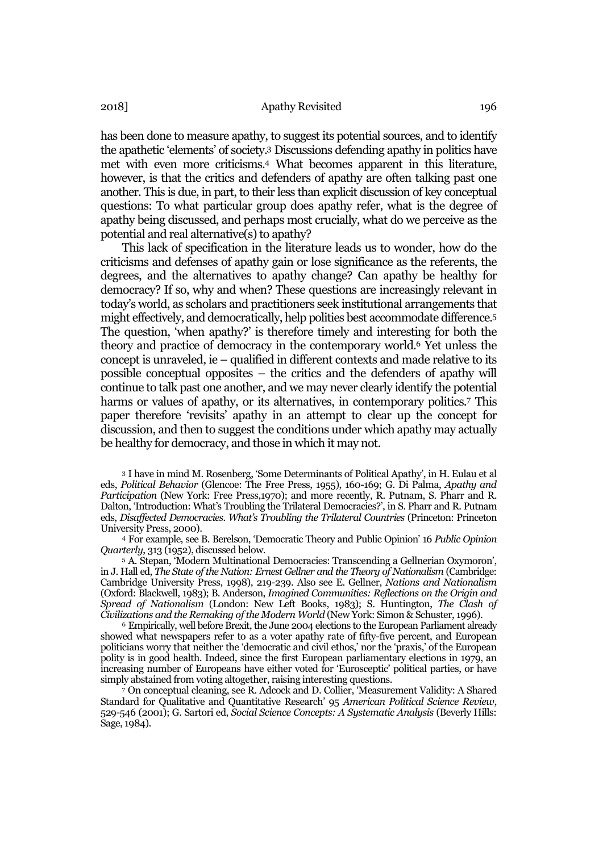has been done to measure apathy, to suggest its potential sources, and to identify the apathetic 'elements' of society.3 Discussions defending apathy in politics have met with even more criticisms.4 What becomes apparent in this literature, however, is that the critics and defenders of apathy are often talking past one another. This is due, in part, to their less than explicit discussion of key conceptual questions: To what particular group does apathy refer, what is the degree of apathy being discussed, and perhaps most crucially, what do we perceive as the potential and real alternative(s) to apathy?

This lack of specification in the literature leads us to wonder, how do the criticisms and defenses of apathy gain or lose significance as the referents, the degrees, and the alternatives to apathy change? Can apathy be healthy for democracy? If so, why and when? These questions are increasingly relevant in today's world, as scholars and practitioners seek institutional arrangements that might effectively, and democratically, help polities best accommodate difference.5 The question, 'when apathy?' is therefore timely and interesting for both the theory and practice of democracy in the contemporary world.6 Yet unless the concept is unraveled, ie – qualified in different contexts and made relative to its possible conceptual opposites – the critics and the defenders of apathy will continue to talk past one another, and we may never clearly identify the potential harms or values of apathy, or its alternatives, in contemporary politics.<sup>7</sup> This paper therefore 'revisits' apathy in an attempt to clear up the concept for discussion, and then to suggest the conditions under which apathy may actually be healthy for democracy, and those in which it may not.

<sup>3</sup> I have in mind M. Rosenberg, 'Some Determinants of Political Apathy', in H. Eulau et al eds, *Political Behavior* (Glencoe: The Free Press, 1955), 160-169; G. Di Palma, *Apathy and Participation* (New York: Free Press,1970); and more recently, R. Putnam, S. Pharr and R. Dalton, 'Introduction: What's Troubling the Trilateral Democracies?', in S. Pharr and R. Putnam eds, *Disaffected Democracies. What's Troubling the Trilateral Countries* (Princeton: Princeton University Press, 2000).

<sup>4</sup> For example, see B. Berelson, 'Democratic Theory and Public Opinion' 16 *Public Opinion Quarterly*, 313 (1952), discussed below.

<sup>5</sup> A. Stepan, 'Modern Multinational Democracies: Transcending a Gellnerian Oxymoron', in J. Hall ed, *The State of the Nation: Ernest Gellner and the Theory of Nationalism* (Cambridge: Cambridge University Press, 1998), 219-239. Also see E. Gellner, *Nations and Nationalism*  (Oxford: Blackwell, 1983); B. Anderson, *Imagined Communities: Reflections on the Origin and Spread of Nationalism* (London: New Left Books, 1983); S. Huntington, *The Clash of Civilizations and the Remaking of the Modern World* (New York: Simon & Schuster, 1996).

<sup>6</sup> Empirically, well before Brexit, the June 2004 elections to the European Parliament already showed what newspapers refer to as a voter apathy rate of fifty-five percent, and European politicians worry that neither the 'democratic and civil ethos,' nor the 'praxis,' of the European polity is in good health. Indeed, since the first European parliamentary elections in 1979, an increasing number of Europeans have either voted for 'Eurosceptic' political parties, or have simply abstained from voting altogether, raising interesting questions.

<sup>7</sup> On conceptual cleaning, see R. Adcock and D. Collier, 'Measurement Validity: A Shared Standard for Qualitative and Quantitative Research' 95 *American Political Science Review*, 529-546 (2001); G. Sartori ed, *Social Science Concepts: A Systematic Analysis* (Beverly Hills: Sage, 1984).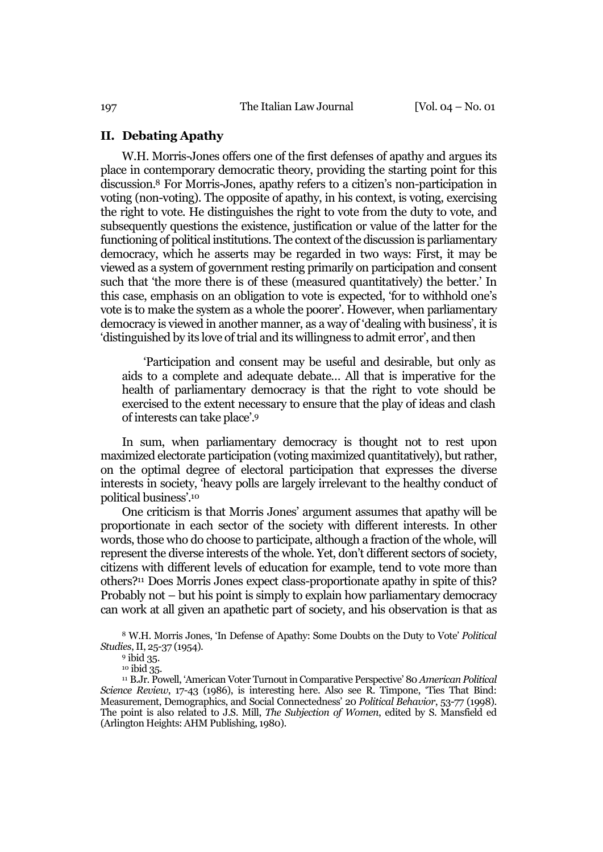### II. Debating Apathy

W.H. Morris-Jones offers one of the first defenses of apathy and argues its place in contemporary democratic theory, providing the starting point for this discussion.8 For Morris-Jones, apathy refers to a citizen's non-participation in voting (non-voting). The opposite of apathy, in his context, is voting, exercising the right to vote. He distinguishes the right to vote from the duty to vote, and subsequently questions the existence, justification or value of the latter for the functioning of political institutions. The context of the discussion is parliamentary democracy, which he asserts may be regarded in two ways: First, it may be viewed as a system of government resting primarily on participation and consent such that 'the more there is of these (measured quantitatively) the better.' In this case, emphasis on an obligation to vote is expected, 'for to withhold one's vote is to make the system as a whole the poorer'. However, when parliamentary democracy is viewed in another manner, as a way of 'dealing with business', it is 'distinguished by its love of trial and its willingness to admit error', and then

'Participation and consent may be useful and desirable, but only as aids to a complete and adequate debate… All that is imperative for the health of parliamentary democracy is that the right to vote should be exercised to the extent necessary to ensure that the play of ideas and clash of interests can take place'.9

In sum, when parliamentary democracy is thought not to rest upon maximized electorate participation (voting maximized quantitatively), but rather, on the optimal degree of electoral participation that expresses the diverse interests in society, 'heavy polls are largely irrelevant to the healthy conduct of political business'.10

One criticism is that Morris Jones' argument assumes that apathy will be proportionate in each sector of the society with different interests. In other words, those who do choose to participate, although a fraction of the whole, will represent the diverse interests of the whole. Yet, don't different sectors of society, citizens with different levels of education for example, tend to vote more than others?11 Does Morris Jones expect class-proportionate apathy in spite of this? Probably not – but his point is simply to explain how parliamentary democracy can work at all given an apathetic part of society, and his observation is that as

<sup>8</sup> W.H. Morris Jones, 'In Defense of Apathy: Some Doubts on the Duty to Vote' *Political Studies*, II, 25-37 (1954).

<sup>11</sup> B.Jr. Powell, 'American Voter Turnout in Comparative Perspective' 80 *American Political Science Review*, 17-43 (1986), is interesting here. Also see R. Timpone, 'Ties That Bind: Measurement, Demographics, and Social Connectedness' 20 *Political Behavior*, 53-77 (1998). The point is also related to J.S. Mill, *The Subjection of Women*, edited by S. Mansfield ed (Arlington Heights: AHM Publishing, 1980).

<sup>9</sup> ibid 35.

<sup>&</sup>lt;sup>10</sup> ibid 35.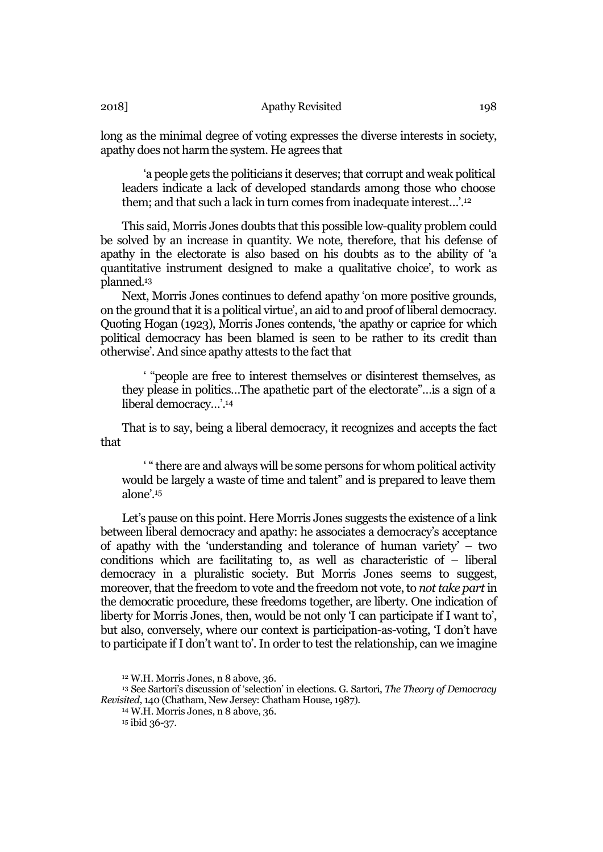long as the minimal degree of voting expresses the diverse interests in society, apathy does not harm the system. He agrees that

'a people gets the politicians it deserves; that corrupt and weak political leaders indicate a lack of developed standards among those who choose them; and that such a lack in turn comes from inadequate interest…'. 12

This said, Morris Jones doubts that this possible low-quality problem could be solved by an increase in quantity. We note, therefore, that his defense of apathy in the electorate is also based on his doubts as to the ability of 'a quantitative instrument designed to make a qualitative choice', to work as planned.13

Next, Morris Jones continues to defend apathy 'on more positive grounds, on the ground that it is a political virtue', an aid to and proof of liberal democracy. Quoting Hogan (1923), Morris Jones contends, 'the apathy or caprice for which political democracy has been blamed is seen to be rather to its credit than otherwise'. And since apathy attests to the fact that

' "people are free to interest themselves or disinterest themselves, as they please in politics…The apathetic part of the electorate"…is a sign of a liberal democracy…'. 14

That is to say, being a liberal democracy, it recognizes and accepts the fact that

' " there are and always will be some persons for whom political activity would be largely a waste of time and talent" and is prepared to leave them alone'.15

Let's pause on this point. Here Morris Jones suggests the existence of a link between liberal democracy and apathy: he associates a democracy's acceptance of apathy with the 'understanding and tolerance of human variety' – two conditions which are facilitating to, as well as characteristic of  $-$  liberal democracy in a pluralistic society. But Morris Jones seems to suggest, moreover, that the freedom to vote and the freedom not vote, to *not take part* in the democratic procedure, these freedoms together, are liberty. One indication of liberty for Morris Jones, then, would be not only 'I can participate if I want to', but also, conversely, where our context is participation-as-voting, 'I don't have to participate ifI don't want to'. In order to test the relationship, can we imagine

<sup>15</sup> ibid 36-37.

<sup>12</sup> W.H. Morris Jones, n 8 above, 36.

<sup>13</sup> See Sartori's discussion of 'selection' in elections. G. Sartori, *The Theory of Democracy Revisited*, 140 (Chatham, New Jersey: Chatham House, 1987).

<sup>14</sup> W.H. Morris Jones, n 8 above, 36.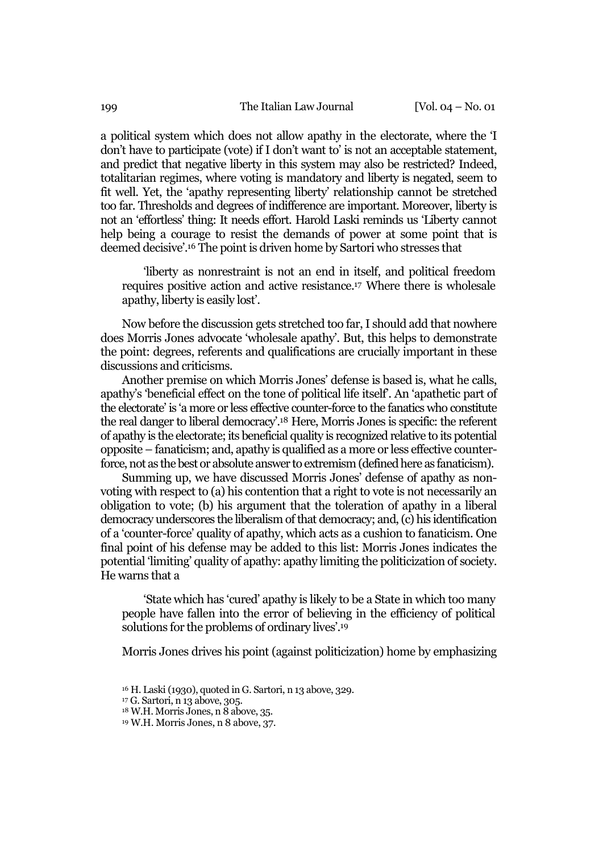a political system which does not allow apathy in the electorate, where the 'I don't have to participate (vote) if I don't want to' is not an acceptable statement, and predict that negative liberty in this system may also be restricted? Indeed, totalitarian regimes, where voting is mandatory and liberty is negated, seem to fit well. Yet, the 'apathy representing liberty' relationship cannot be stretched too far. Thresholds and degrees of indifference are important. Moreover, liberty is not an 'effortless' thing: It needs effort. Harold Laski reminds us 'Liberty cannot help being a courage to resist the demands of power at some point that is deemed decisive'.16 The point is driven home by Sartori who stresses that

'liberty as nonrestraint is not an end in itself, and political freedom requires positive action and active resistance.17 Where there is wholesale apathy, liberty is easily lost'.

Now before the discussion gets stretched too far, I should add that nowhere does Morris Jones advocate 'wholesale apathy'. But, this helps to demonstrate the point: degrees, referents and qualifications are crucially important in these discussions and criticisms.

Another premise on which Morris Jones' defense is based is, what he calls, apathy's 'beneficial effect on the tone of political life itself'. An 'apathetic part of the electorate' is 'a more or less effective counter-force to the fanatics who constitute the real danger to liberal democracy'.18 Here, Morris Jones is specific: the referent of apathy is the electorate; its beneficial quality is recognized relative to its potential opposite – fanaticism; and, apathy is qualified as a more or less effective counterforce, not as the best or absolute answer to extremism (defined here as fanaticism).

Summing up, we have discussed Morris Jones' defense of apathy as nonvoting with respect to (a) his contention that a right to vote is not necessarily an obligation to vote; (b) his argument that the toleration of apathy in a liberal democracy underscores the liberalism of that democracy; and, (c) his identification of a 'counter-force' quality of apathy, which acts as a cushion to fanaticism. One final point of his defense may be added to this list: Morris Jones indicates the potential 'limiting' quality of apathy: apathy limiting the politicization of society. He warns that a

'State which has 'cured' apathy is likely to be a State in which too many people have fallen into the error of believing in the efficiency of political solutions for the problems of ordinary lives'.19

Morris Jones drives his point (against politicization) home by emphasizing

<sup>16</sup> H. Laski (1930), quoted in G. Sartori, n 13 above, 329.

<sup>17</sup> G. Sartori, n 13 above, 305.

 $18$  W.H. Morris Jones, n  $8$  above, 35.

<sup>19</sup> W.H. Morris Jones, n 8 above, 37.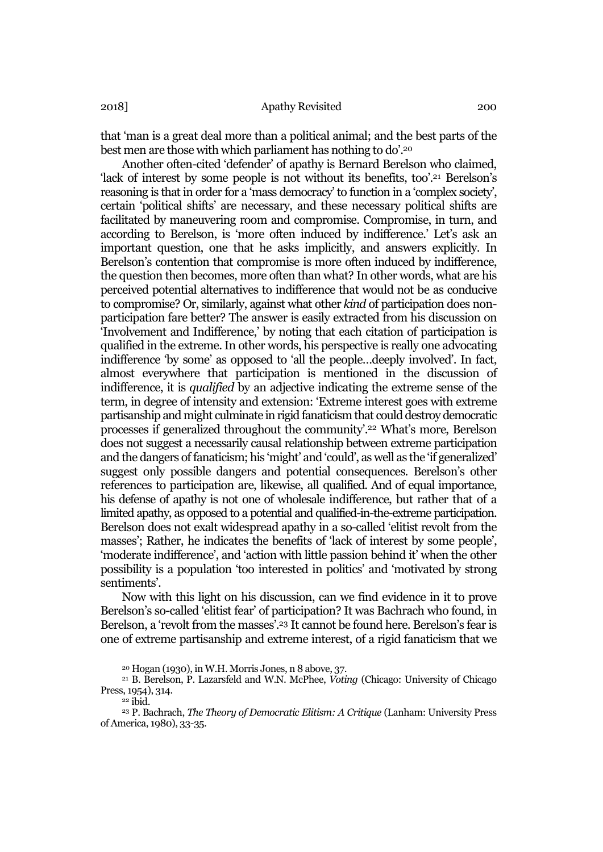that 'man is a great deal more than a political animal; and the best parts of the best men are those with which parliament has nothing to do'.20

Another often-cited 'defender' of apathy is Bernard Berelson who claimed, 'lack of interest by some people is not without its benefits, too'.21 Berelson's reasoning is that in order for a 'mass democracy' to function in a 'complex society', certain 'political shifts' are necessary, and these necessary political shifts are facilitated by maneuvering room and compromise. Compromise, in turn, and according to Berelson, is 'more often induced by indifference.' Let's ask an important question, one that he asks implicitly, and answers explicitly. In Berelson's contention that compromise is more often induced by indifference, the question then becomes, more often than what? In other words, what are his perceived potential alternatives to indifference that would not be as conducive to compromise? Or, similarly, against what other *kind* of participation does nonparticipation fare better? The answer is easily extracted from his discussion on 'Involvement and Indifference,' by noting that each citation of participation is qualified in the extreme. In other words, his perspective is really one advocating indifference 'by some' as opposed to 'all the people…deeply involved'. In fact, almost everywhere that participation is mentioned in the discussion of indifference, it is *qualified* by an adjective indicating the extreme sense of the term, in degree of intensity and extension: 'Extreme interest goes with extreme partisanship and might culminate in rigid fanaticism that could destroy democratic processes if generalized throughout the community'.22 What's more, Berelson does not suggest a necessarily causal relationship between extreme participation and the dangers of fanaticism; his 'might' and 'could', as well as the 'if generalized' suggest only possible dangers and potential consequences. Berelson's other references to participation are, likewise, all qualified. And of equal importance, his defense of apathy is not one of wholesale indifference, but rather that of a limited apathy, as opposed to a potential and qualified-in-the-extreme participation. Berelson does not exalt widespread apathy in a so-called 'elitist revolt from the masses'; Rather, he indicates the benefits of 'lack of interest by some people', 'moderate indifference', and 'action with little passion behind it' when the other possibility is a population 'too interested in politics' and 'motivated by strong sentiments'.

Now with this light on his discussion, can we find evidence in it to prove Berelson's so-called 'elitist fear' of participation? It was Bachrach who found, in Berelson, a 'revolt from the masses'.23 It cannot be found here. Berelson's fear is one of extreme partisanship and extreme interest, of a rigid fanaticism that we

<sup>20</sup> Hogan (1930), in W.H. Morris Jones, n 8 above, 37.

<sup>21</sup> B. Berelson, P. Lazarsfeld and W.N. McPhee, *Voting* (Chicago: University of Chicago Press, 1954), 314.

<sup>22</sup> ibid.

<sup>23</sup> P. Bachrach, *The Theory of Democratic Elitism: A Critique* (Lanham: University Press of America, 1980), 33-35.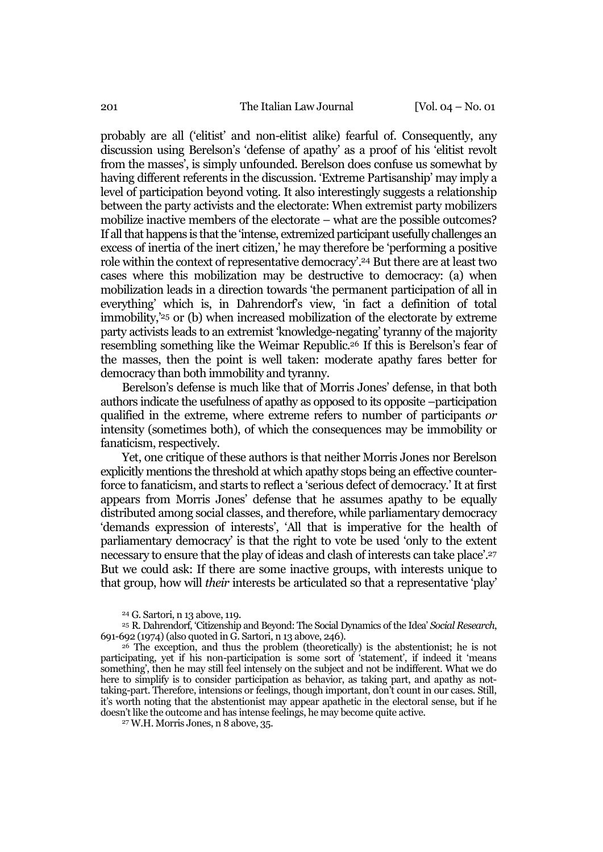probably are all ('elitist' and non-elitist alike) fearful of. Consequently, any discussion using Berelson's 'defense of apathy' as a proof of his 'elitist revolt from the masses', is simply unfounded. Berelson does confuse us somewhat by having different referents in the discussion. 'Extreme Partisanship' may imply a level of participation beyond voting. It also interestingly suggests a relationship between the party activists and the electorate: When extremist party mobilizers mobilize inactive members of the electorate – what are the possible outcomes? If all that happens is that the 'intense, extremized participant usefully challenges an excess of inertia of the inert citizen,' he may therefore be 'performing a positive role within the context of representative democracy'.24 But there are at least two cases where this mobilization may be destructive to democracy: (a) when mobilization leads in a direction towards 'the permanent participation of all in everything' which is, in Dahrendorf's view, 'in fact a definition of total immobility,'25 or (b) when increased mobilization of the electorate by extreme party activists leads to an extremist 'knowledge-negating' tyranny of the majority resembling something like the Weimar Republic.26 If this is Berelson's fear of the masses, then the point is well taken: moderate apathy fares better for democracy than both immobility and tyranny.

Berelson's defense is much like that of Morris Jones' defense, in that both authors indicate the usefulness of apathy as opposed to its opposite –participation qualified in the extreme, where extreme refers to number of participants *or* intensity (sometimes both), of which the consequences may be immobility or fanaticism, respectively.

Yet, one critique of these authors is that neither Morris Jones nor Berelson explicitly mentions the threshold at which apathy stops being an effective counterforce to fanaticism, and starts to reflect a 'serious defect of democracy.' It at first appears from Morris Jones' defense that he assumes apathy to be equally distributed among social classes, and therefore, while parliamentary democracy 'demands expression of interests', 'All that is imperative for the health of parliamentary democracy' is that the right to vote be used 'only to the extent necessary to ensure that the play of ideas and clash of interests can take place'.27 But we could ask: If there are some inactive groups, with interests unique to that group, how will *their* interests be articulated so that a representative 'play'

<sup>24</sup> G. Sartori, n 13 above, 119.

<sup>25</sup> R. Dahrendorf, 'Citizenship and Beyond: The Social Dynamics of the Idea' *Social Research*, 691-692 (1974) (also quoted in G. Sartori, n 13 above, 246).

 $26$  The exception, and thus the problem (theoretically) is the abstentionist; he is not participating, yet if his non-participation is some sort of 'statement', if indeed it 'means something', then he may still feel intensely on the subject and not be indifferent. What we do here to simplify is to consider participation as behavior, as taking part, and apathy as nottaking-part. Therefore, intensions or feelings, though important, don't count in our cases. Still, it's worth noting that the abstentionist may appear apathetic in the electoral sense, but if he doesn't like the outcome and has intense feelings, he may become quite active.

<sup>27</sup> W.H. Morris Jones, n 8 above, 35.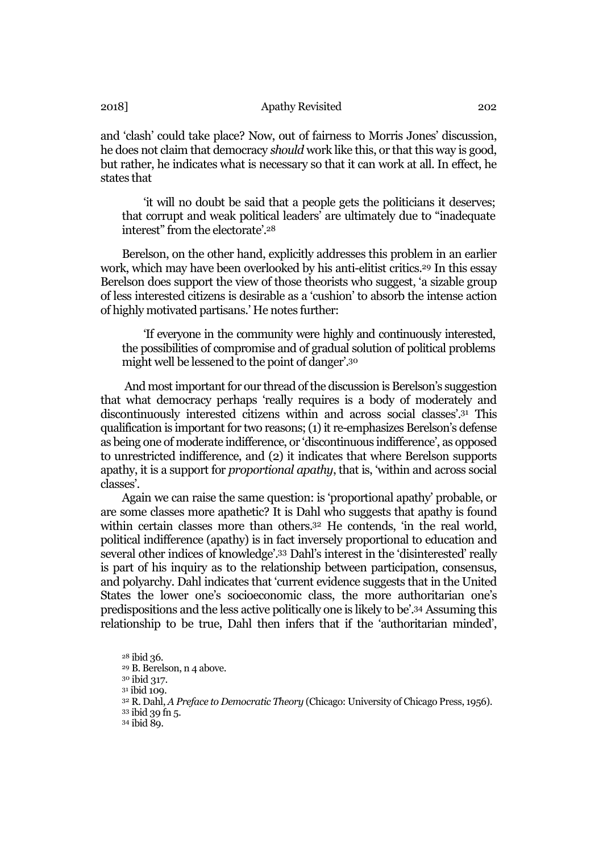and 'clash' could take place? Now, out of fairness to Morris Jones' discussion, he does not claim that democracy *should* work like this, or that this way is good, but rather, he indicates what is necessary so that it can work at all. In effect, he states that

'it will no doubt be said that a people gets the politicians it deserves; that corrupt and weak political leaders' are ultimately due to "inadequate interest" from the electorate'.28

Berelson, on the other hand, explicitly addresses this problem in an earlier work, which may have been overlooked by his anti-elitist critics.<sup>29</sup> In this essay Berelson does support the view of those theorists who suggest, 'a sizable group of less interested citizens is desirable as a 'cushion' to absorb the intense action of highly motivated partisans.' He notes further:

'If everyone in the community were highly and continuously interested, the possibilities of compromise and of gradual solution of political problems might well be lessened to the point of danger'.30

And most important for our thread of the discussion is Berelson's suggestion that what democracy perhaps 'really requires is a body of moderately and discontinuously interested citizens within and across social classes'.31 This qualification is important for two reasons; (1) it re-emphasizes Berelson's defense as being one of moderate indifference, or 'discontinuous indifference', as opposed to unrestricted indifference, and (2) it indicates that where Berelson supports apathy, it is a support for *proportional apathy*, that is, 'within and across social classes'.

Again we can raise the same question: is 'proportional apathy' probable, or are some classes more apathetic? It is Dahl who suggests that apathy is found within certain classes more than others.<sup>32</sup> He contends, 'in the real world, political indifference (apathy) is in fact inversely proportional to education and several other indices of knowledge'.33 Dahl's interest in the 'disinterested' really is part of his inquiry as to the relationship between participation, consensus, and polyarchy. Dahl indicates that 'current evidence suggests that in the United States the lower one's socioeconomic class, the more authoritarian one's predispositions and the less active politically one is likely to be'.34 Assuming this relationship to be true, Dahl then infers that if the 'authoritarian minded',

<sup>34</sup> ibid 89.

<sup>28</sup> ibid 36.

<sup>29</sup> B. Berelson, n 4 above.

<sup>30</sup> ibid 317.

<sup>31</sup> ibid 109.

<sup>32</sup> R. Dahl, *A Preface to Democratic Theory* (Chicago: University of Chicago Press, 1956).

<sup>33</sup> ibid 39 fn 5.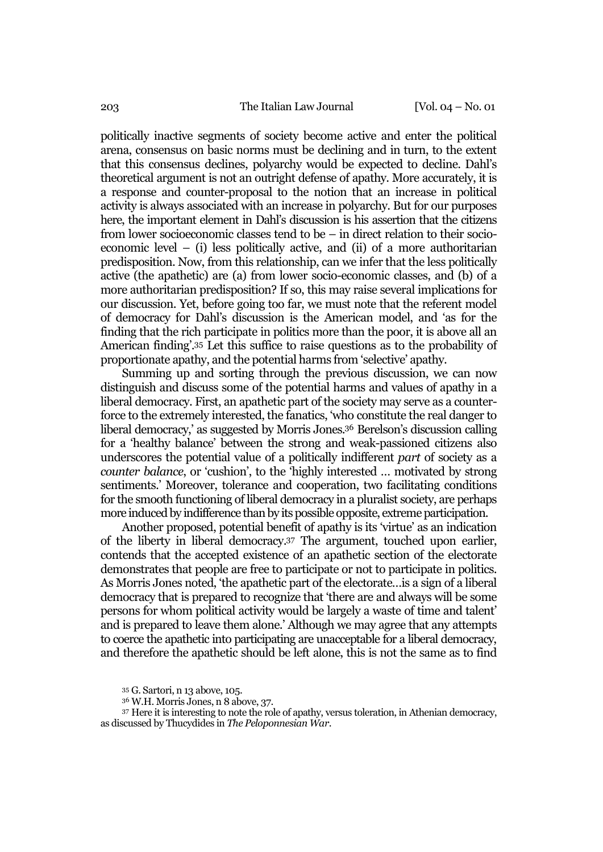politically inactive segments of society become active and enter the political arena, consensus on basic norms must be declining and in turn, to the extent that this consensus declines, polyarchy would be expected to decline. Dahl's theoretical argument is not an outright defense of apathy. More accurately, it is a response and counter-proposal to the notion that an increase in political activity is always associated with an increase in polyarchy. But for our purposes here, the important element in Dahl's discussion is his assertion that the citizens from lower socioeconomic classes tend to be – in direct relation to their socioeconomic level – (i) less politically active, and (ii) of a more authoritarian predisposition. Now, from this relationship, can we infer that the less politically active (the apathetic) are (a) from lower socio-economic classes, and (b) of a more authoritarian predisposition? If so, this may raise several implications for our discussion. Yet, before going too far, we must note that the referent model of democracy for Dahl's discussion is the American model, and 'as for the finding that the rich participate in politics more than the poor, it is above all an American finding'.35 Let this suffice to raise questions as to the probability of proportionate apathy, and the potential harms from 'selective' apathy.

Summing up and sorting through the previous discussion, we can now distinguish and discuss some of the potential harms and values of apathy in a liberal democracy. First, an apathetic part of the society may serve as a counterforce to the extremely interested, the fanatics, 'who constitute the real danger to liberal democracy,' as suggested by Morris Jones.36 Berelson's discussion calling for a 'healthy balance' between the strong and weak-passioned citizens also underscores the potential value of a politically indifferent *part* of society as a *counter balance*, or 'cushion', to the 'highly interested … motivated by strong sentiments.' Moreover, tolerance and cooperation, two facilitating conditions for the smooth functioning of liberal democracy in a pluralist society, are perhaps more induced by indifference than by its possible opposite, extreme participation.

Another proposed, potential benefit of apathy is its 'virtue' as an indication of the liberty in liberal democracy.37 The argument, touched upon earlier, contends that the accepted existence of an apathetic section of the electorate demonstrates that people are free to participate or not to participate in politics. As Morris Jones noted, 'the apathetic part of the electorate…is a sign of a liberal democracy that is prepared to recognize that 'there are and always will be some persons for whom political activity would be largely a waste of time and talent' and is prepared to leave them alone.' Although we may agree that any attempts to coerce the apathetic into participating are unacceptable for a liberal democracy, and therefore the apathetic should be left alone, this is not the same as to find

<sup>35</sup> G. Sartori, n 13 above, 105.

<sup>36</sup> W.H. Morris Jones, n 8 above, 37.

<sup>37</sup> Here it is interesting to note the role of apathy, versus toleration, in Athenian democracy, as discussed by Thucydides in *The Peloponnesian War*.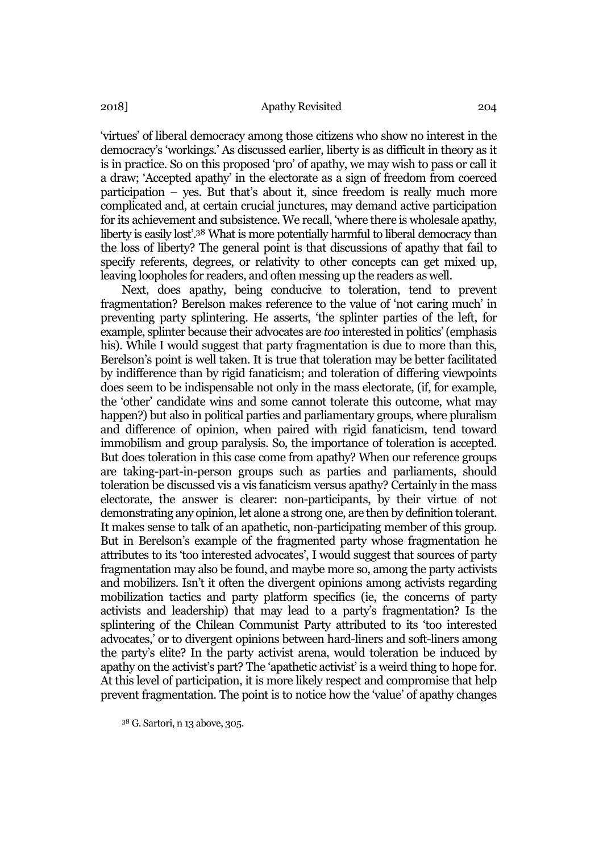'virtues' of liberal democracy among those citizens who show no interest in the democracy's 'workings.' As discussed earlier, liberty is as difficult in theory as it is in practice. So on this proposed 'pro' of apathy, we may wish to pass or call it a draw; 'Accepted apathy' in the electorate as a sign of freedom from coerced participation – yes. But that's about it, since freedom is really much more complicated and, at certain crucial junctures, may demand active participation for its achievement and subsistence. We recall, 'where there is wholesale apathy, liberty is easily lost'.38 What is more potentially harmful to liberal democracy than the loss of liberty? The general point is that discussions of apathy that fail to specify referents, degrees, or relativity to other concepts can get mixed up, leaving loopholes for readers, and often messing up the readers as well.

Next, does apathy, being conducive to toleration, tend to prevent fragmentation? Berelson makes reference to the value of 'not caring much' in preventing party splintering. He asserts, 'the splinter parties of the left, for example, splinter because their advocates are *too* interested in politics' (emphasis his). While I would suggest that party fragmentation is due to more than this, Berelson's point is well taken. It is true that toleration may be better facilitated by indifference than by rigid fanaticism; and toleration of differing viewpoints does seem to be indispensable not only in the mass electorate, (if, for example, the 'other' candidate wins and some cannot tolerate this outcome, what may happen?) but also in political parties and parliamentary groups, where pluralism and difference of opinion, when paired with rigid fanaticism, tend toward immobilism and group paralysis. So, the importance of toleration is accepted. But does toleration in this case come from apathy? When our reference groups are taking-part-in-person groups such as parties and parliaments, should toleration be discussed vis a vis fanaticism versus apathy? Certainly in the mass electorate, the answer is clearer: non-participants, by their virtue of not demonstrating any opinion, let alone a strong one, are then by definition tolerant. It makes sense to talk of an apathetic, non-participating member of this group. But in Berelson's example of the fragmented party whose fragmentation he attributes to its 'too interested advocates', I would suggest that sources of party fragmentation may also be found, and maybe more so, among the party activists and mobilizers. Isn't it often the divergent opinions among activists regarding mobilization tactics and party platform specifics (ie, the concerns of party activists and leadership) that may lead to a party's fragmentation? Is the splintering of the Chilean Communist Party attributed to its 'too interested advocates,' or to divergent opinions between hard-liners and soft-liners among the party's elite? In the party activist arena, would toleration be induced by apathy on the activist's part? The 'apathetic activist' is a weird thing to hope for. At this level of participation, it is more likely respect and compromise that help prevent fragmentation. The point is to notice how the 'value' of apathy changes

<sup>38</sup> G. Sartori, n 13 above, 305.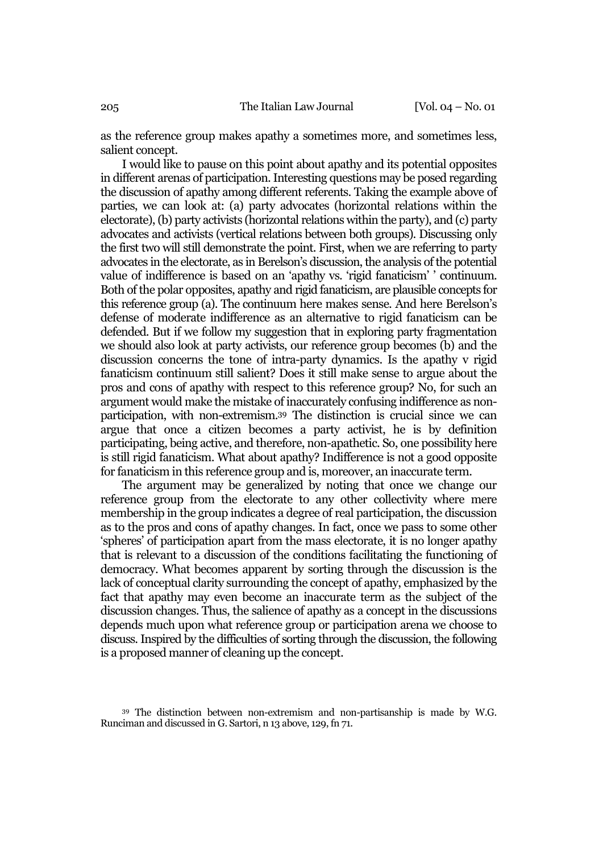as the reference group makes apathy a sometimes more, and sometimes less, salient concept.

I would like to pause on this point about apathy and its potential opposites in different arenas of participation. Interesting questions may be posed regarding the discussion of apathy among different referents. Taking the example above of parties, we can look at: (a) party advocates (horizontal relations within the electorate), (b) party activists (horizontal relations within the party), and (c) party advocates and activists (vertical relations between both groups). Discussing only the first two will still demonstrate the point. First, when we are referring to party advocates in the electorate, as in Berelson's discussion, the analysis of the potential value of indifference is based on an 'apathy vs. 'rigid fanaticism' ' continuum. Both of the polar opposites, apathy and rigid fanaticism, are plausible concepts for this reference group (a). The continuum here makes sense. And here Berelson's defense of moderate indifference as an alternative to rigid fanaticism can be defended. But if we follow my suggestion that in exploring party fragmentation we should also look at party activists, our reference group becomes (b) and the discussion concerns the tone of intra-party dynamics. Is the apathy v rigid fanaticism continuum still salient? Does it still make sense to argue about the pros and cons of apathy with respect to this reference group? No, for such an argument would make the mistake of inaccurately confusing indifference as nonparticipation, with non-extremism.39 The distinction is crucial since we can argue that once a citizen becomes a party activist, he is by definition participating, being active, and therefore, non-apathetic. So, one possibility here is still rigid fanaticism. What about apathy? Indifference is not a good opposite for fanaticism in this reference group and is, moreover, an inaccurate term.

The argument may be generalized by noting that once we change our reference group from the electorate to any other collectivity where mere membership in the group indicates a degree of real participation, the discussion as to the pros and cons of apathy changes. In fact, once we pass to some other 'spheres' of participation apart from the mass electorate, it is no longer apathy that is relevant to a discussion of the conditions facilitating the functioning of democracy. What becomes apparent by sorting through the discussion is the lack of conceptual clarity surrounding the concept of apathy, emphasized by the fact that apathy may even become an inaccurate term as the subject of the discussion changes. Thus, the salience of apathy as a concept in the discussions depends much upon what reference group or participation arena we choose to discuss. Inspired by the difficulties of sorting through the discussion, the following is a proposed manner of cleaning up the concept.

<sup>39</sup> The distinction between non-extremism and non-partisanship is made by W.G. Runciman and discussed in G. Sartori, n 13 above, 129, fn 71.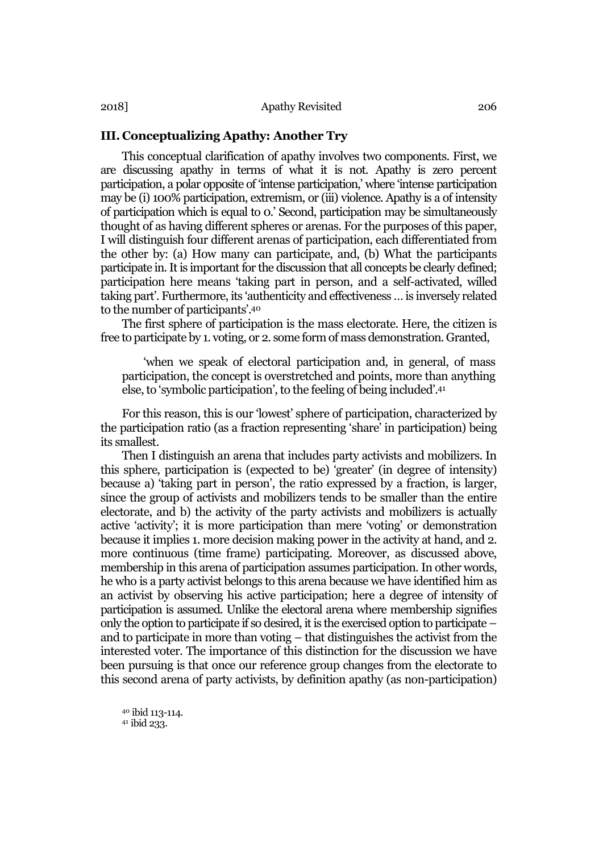## III. Conceptualizing Apathy: Another Try

This conceptual clarification of apathy involves two components. First, we are discussing apathy in terms of what it is not. Apathy is zero percent participation, a polar opposite of 'intense participation,' where 'intense participation may be (i) 100% participation, extremism, or (iii) violence. Apathy is a of intensity of participation which is equal to 0.' Second, participation may be simultaneously thought of as having different spheres or arenas. For the purposes of this paper, I will distinguish four different arenas of participation, each differentiated from the other by: (a) How many can participate, and, (b) What the participants participate in. It is important for the discussion that all concepts be clearly defined; participation here means 'taking part in person, and a self-activated, willed taking part'. Furthermore, its 'authenticity and effectiveness … is inversely related to the number of participants'.40

The first sphere of participation is the mass electorate. Here, the citizen is free to participate by 1. voting, or 2. some form of mass demonstration. Granted,

'when we speak of electoral participation and, in general, of mass participation, the concept is overstretched and points, more than anything else, to 'symbolic participation', to the feeling of being included'.<sup>41</sup>

For this reason, this is our 'lowest' sphere of participation, characterized by the participation ratio (as a fraction representing 'share' in participation) being its smallest.

Then I distinguish an arena that includes party activists and mobilizers. In this sphere, participation is (expected to be) 'greater' (in degree of intensity) because a) 'taking part in person', the ratio expressed by a fraction, is larger, since the group of activists and mobilizers tends to be smaller than the entire electorate, and b) the activity of the party activists and mobilizers is actually active 'activity'; it is more participation than mere 'voting' or demonstration because it implies 1. more decision making power in the activity at hand, and 2. more continuous (time frame) participating. Moreover, as discussed above, membership in this arena of participation assumes participation. In other words, he who is a party activist belongs to this arena because we have identified him as an activist by observing his active participation; here a degree of intensity of participation is assumed. Unlike the electoral arena where membership signifies only the option to participate if so desired, it is the exercised option to participate – and to participate in more than voting – that distinguishes the activist from the interested voter. The importance of this distinction for the discussion we have been pursuing is that once our reference group changes from the electorate to this second arena of party activists, by definition apathy (as non-participation)

<sup>40</sup> ibid 113-114. <sup>41</sup> ibid 233.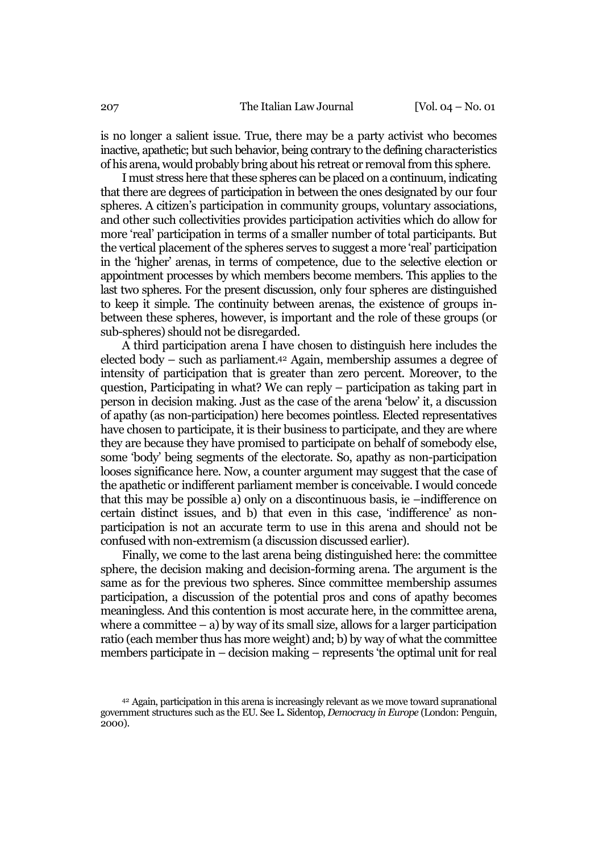is no longer a salient issue. True, there may be a party activist who becomes inactive, apathetic; but such behavior, being contrary to the defining characteristics of his arena, would probably bring about his retreat or removal from this sphere.

I must stress here that these spheres can be placed on a continuum, indicating that there are degrees of participation in between the ones designated by our four spheres. A citizen's participation in community groups, voluntary associations, and other such collectivities provides participation activities which do allow for more 'real' participation in terms of a smaller number of total participants. But the vertical placement of the spheres serves to suggest a more 'real' participation in the 'higher' arenas, in terms of competence, due to the selective election or appointment processes by which members become members. This applies to the last two spheres. For the present discussion, only four spheres are distinguished to keep it simple. The continuity between arenas, the existence of groups inbetween these spheres, however, is important and the role of these groups (or sub-spheres) should not be disregarded.

A third participation arena I have chosen to distinguish here includes the elected body – such as parliament.42 Again, membership assumes a degree of intensity of participation that is greater than zero percent. Moreover, to the question, Participating in what? We can reply – participation as taking part in person in decision making. Just as the case of the arena 'below' it, a discussion of apathy (as non-participation) here becomes pointless. Elected representatives have chosen to participate, it is their business to participate, and they are where they are because they have promised to participate on behalf of somebody else, some 'body' being segments of the electorate. So, apathy as non-participation looses significance here. Now, a counter argument may suggest that the case of the apathetic or indifferent parliament member is conceivable. I would concede that this may be possible a) only on a discontinuous basis, ie –indifference on certain distinct issues, and b) that even in this case, 'indifference' as nonparticipation is not an accurate term to use in this arena and should not be confused with non-extremism (a discussion discussed earlier).

Finally, we come to the last arena being distinguished here: the committee sphere, the decision making and decision-forming arena. The argument is the same as for the previous two spheres. Since committee membership assumes participation, a discussion of the potential pros and cons of apathy becomes meaningless. And this contention is most accurate here, in the committee arena, where a committee  $-$  a) by way of its small size, allows for a larger participation ratio (each member thus has more weight) and; b) by way of what the committee members participate in – decision making – represents 'the optimal unit for real

<sup>42</sup> Again, participation in this arena is increasingly relevant as we move toward supranational government structures such as the EU. See L. Sidentop, *Democracy in Europe* (London: Penguin, 2000).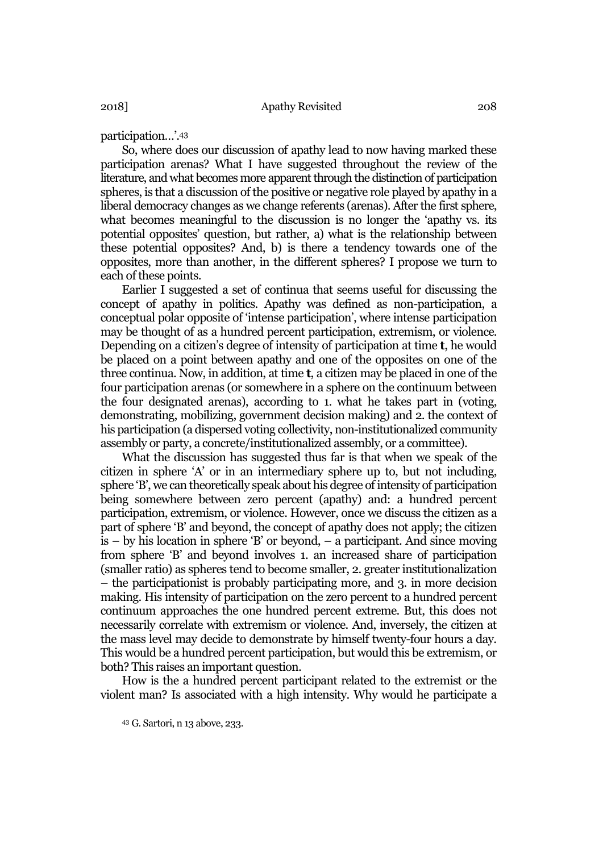participation...'.43

So, where does our discussion of apathy lead to now having marked these participation arenas? What I have suggested throughout the review of the literature, and what becomes more apparent through the distinction of participation spheres, is that a discussion of the positive or negative role played by apathy in a liberal democracy changes as we change referents (arenas). After the first sphere, what becomes meaningful to the discussion is no longer the 'apathy vs. its potential opposites' question, but rather, a) what is the relationship between these potential opposites? And, b) is there a tendency towards one of the opposites, more than another, in the different spheres? I propose we turn to each of these points.

Earlier I suggested a set of continua that seems useful for discussing the concept of apathy in politics. Apathy was defined as non-participation, a conceptual polar opposite of 'intense participation', where intense participation may be thought of as a hundred percent participation, extremism, or violence. Depending on a citizen's degree of intensity of participation at time **t**, he would be placed on a point between apathy and one of the opposites on one of the three continua. Now, in addition, at time t, a citizen may be placed in one of the four participation arenas (or somewhere in a sphere on the continuum between the four designated arenas), according to 1. what he takes part in (voting, demonstrating, mobilizing, government decision making) and 2. the context of his participation (a dispersed voting collectivity, non-institutionalized community assembly or party, a concrete/institutionalized assembly, or a committee).

What the discussion has suggested thus far is that when we speak of the citizen in sphere 'A' or in an intermediary sphere up to, but not including, sphere 'B', we can theoretically speak about his degree of intensity of participation being somewhere between zero percent (apathy) and: a hundred percent participation, extremism, or violence. However, once we discuss the citizen as a part of sphere 'B' and beyond, the concept of apathy does not apply; the citizen is – by his location in sphere 'B' or beyond, – a participant. And since moving from sphere 'B' and beyond involves 1. an increased share of participation (smaller ratio) as spheres tend to become smaller, 2. greater institutionalization – the participationist is probably participating more, and 3. in more decision making. His intensity of participation on the zero percent to a hundred percent continuum approaches the one hundred percent extreme. But, this does not necessarily correlate with extremism or violence. And, inversely, the citizen at the mass level may decide to demonstrate by himself twenty-four hours a day. This would be a hundred percent participation, but would this be extremism, or both? This raises an important question.

How is the a hundred percent participant related to the extremist or the violent man? Is associated with a high intensity. Why would he participate a

<sup>43</sup> G. Sartori, n 13 above, 233.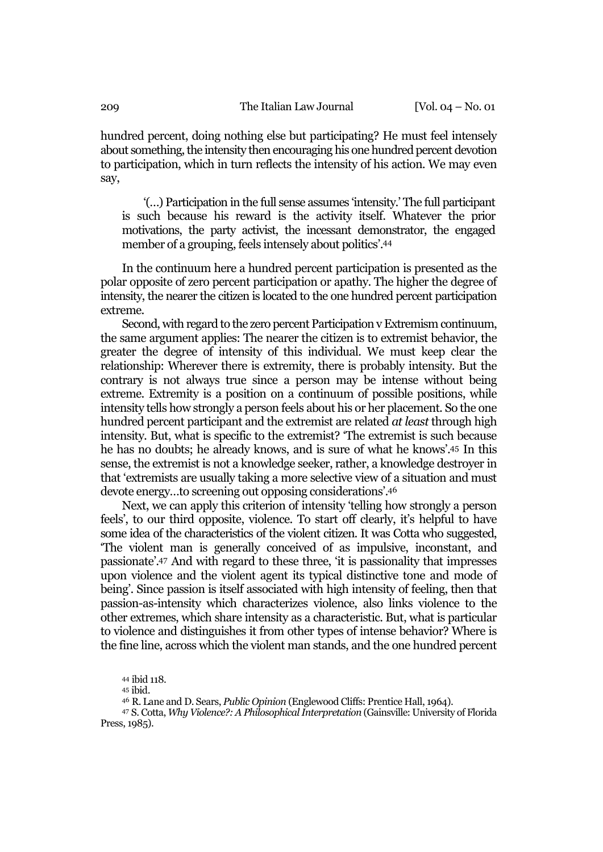hundred percent, doing nothing else but participating? He must feel intensely about something, the intensity then encouraging his one hundred percent devotion to participation, which in turn reflects the intensity of his action. We may even say,

'(…) Participation in the full sense assumes 'intensity.' The full participant is such because his reward is the activity itself. Whatever the prior motivations, the party activist, the incessant demonstrator, the engaged member of a grouping, feels intensely about politics'.44

In the continuum here a hundred percent participation is presented as the polar opposite of zero percent participation or apathy. The higher the degree of intensity, the nearer the citizen is located to the one hundred percent participation extreme.

Second, with regard to the zero percent Participation v Extremism continuum, the same argument applies: The nearer the citizen is to extremist behavior, the greater the degree of intensity of this individual. We must keep clear the relationship: Wherever there is extremity, there is probably intensity. But the contrary is not always true since a person may be intense without being extreme. Extremity is a position on a continuum of possible positions, while intensity tells how strongly a person feels about his or her placement. So the one hundred percent participant and the extremist are related *at least* through high intensity. But, what is specific to the extremist? 'The extremist is such because he has no doubts; he already knows, and is sure of what he knows'.45 In this sense, the extremist is not a knowledge seeker, rather, a knowledge destroyer in that 'extremists are usually taking a more selective view of a situation and must devote energy…to screening out opposing considerations'.46

Next, we can apply this criterion of intensity 'telling how strongly a person feels', to our third opposite, violence. To start off clearly, it's helpful to have some idea of the characteristics of the violent citizen. It was Cotta who suggested, 'The violent man is generally conceived of as impulsive, inconstant, and passionate'.47 And with regard to these three, 'it is passionality that impresses upon violence and the violent agent its typical distinctive tone and mode of being'. Since passion is itself associated with high intensity of feeling, then that passion-as-intensity which characterizes violence, also links violence to the other extremes, which share intensity as a characteristic. But, what is particular to violence and distinguishes it from other types of intense behavior? Where is the fine line, across which the violent man stands, and the one hundred percent

<sup>47</sup> S. Cotta, *Why Violence?: A Philosophical Interpretation* (Gainsville: University of Florida Press, 1985).

<sup>44</sup> ibid 118.

<sup>45</sup> ibid.

<sup>46</sup> R. Lane and D. Sears, *Public Opinion* (Englewood Cliffs: Prentice Hall, 1964).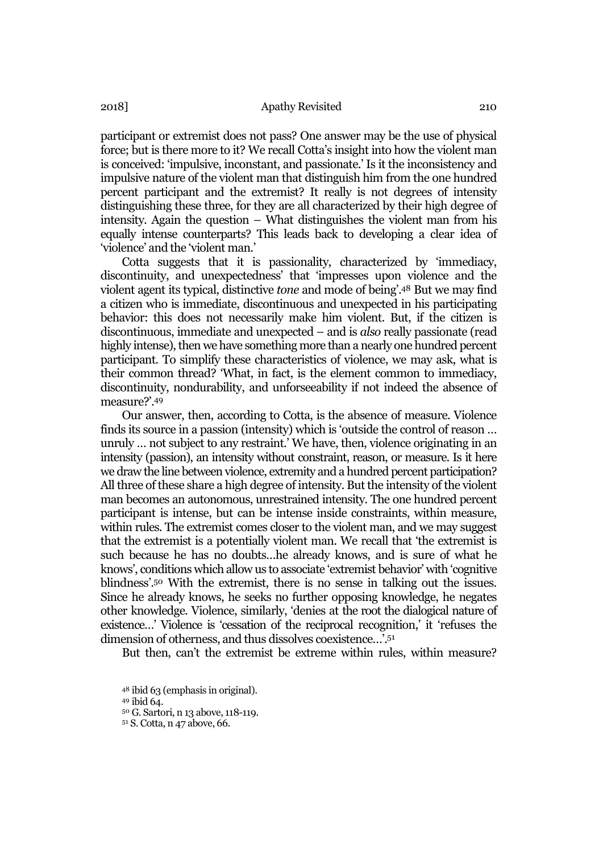participant or extremist does not pass? One answer may be the use of physical force; but is there more to it? We recall Cotta's insight into how the violent man is conceived: 'impulsive, inconstant, and passionate.' Is it the inconsistency and impulsive nature of the violent man that distinguish him from the one hundred percent participant and the extremist? It really is not degrees of intensity distinguishing these three, for they are all characterized by their high degree of intensity. Again the question – What distinguishes the violent man from his equally intense counterparts? This leads back to developing a clear idea of 'violence' and the 'violent man.'

Cotta suggests that it is passionality, characterized by 'immediacy, discontinuity, and unexpectedness' that 'impresses upon violence and the violent agent its typical, distinctive *tone* and mode of being'.48 But we may find a citizen who is immediate, discontinuous and unexpected in his participating behavior: this does not necessarily make him violent. But, if the citizen is discontinuous, immediate and unexpected – and is *also* really passionate (read highly intense), then we have something more than a nearly one hundred percent participant. To simplify these characteristics of violence, we may ask, what is their common thread? 'What, in fact, is the element common to immediacy, discontinuity, nondurability, and unforseeability if not indeed the absence of measure?'.49

Our answer, then, according to Cotta, is the absence of measure. Violence finds its source in a passion (intensity) which is 'outside the control of reason … unruly … not subject to any restraint.' We have, then, violence originating in an intensity (passion), an intensity without constraint, reason, or measure. Is it here we draw the line between violence, extremity and a hundred percent participation? All three of these share a high degree of intensity. But the intensity of the violent man becomes an autonomous, unrestrained intensity. The one hundred percent participant is intense, but can be intense inside constraints, within measure, within rules. The extremist comes closer to the violent man, and we may suggest that the extremist is a potentially violent man. We recall that 'the extremist is such because he has no doubts…he already knows, and is sure of what he knows', conditions which allow us to associate 'extremist behavior' with 'cognitive blindness'.50 With the extremist, there is no sense in talking out the issues. Since he already knows, he seeks no further opposing knowledge, he negates other knowledge. Violence, similarly, 'denies at the root the dialogical nature of existence…' Violence is 'cessation of the reciprocal recognition,' it 'refuses the dimension of otherness, and thus dissolves coexistence…'.51

But then, can't the extremist be extreme within rules, within measure?

<sup>48</sup> ibid 63 (emphasis in original).

<sup>49</sup> ibid 64.

<sup>50</sup> G. Sartori, n 13 above, 118-119.

<sup>51</sup> S. Cotta, n 47 above, 66.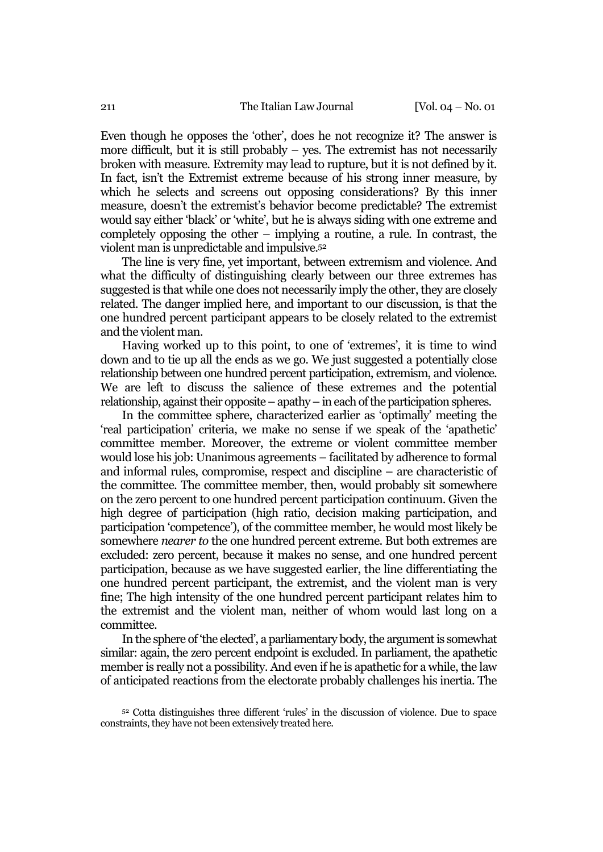Even though he opposes the 'other', does he not recognize it? The answer is more difficult, but it is still probably – yes. The extremist has not necessarily broken with measure. Extremity may lead to rupture, but it is not defined by it. In fact, isn't the Extremist extreme because of his strong inner measure, by which he selects and screens out opposing considerations? By this inner measure, doesn't the extremist's behavior become predictable? The extremist would say either 'black' or 'white', but he is always siding with one extreme and completely opposing the other – implying a routine, a rule. In contrast, the violent man is unpredictable and impulsive.52

The line is very fine, yet important, between extremism and violence. And what the difficulty of distinguishing clearly between our three extremes has suggested is that while one does not necessarily imply the other, they are closely related. The danger implied here, and important to our discussion, is that the one hundred percent participant appears to be closely related to the extremist and the violent man.

Having worked up to this point, to one of 'extremes', it is time to wind down and to tie up all the ends as we go. We just suggested a potentially close relationship between one hundred percent participation, extremism, and violence. We are left to discuss the salience of these extremes and the potential relationship, against their opposite – apathy – in each of the participation spheres.

In the committee sphere, characterized earlier as 'optimally' meeting the 'real participation' criteria, we make no sense if we speak of the 'apathetic' committee member. Moreover, the extreme or violent committee member would lose his job: Unanimous agreements – facilitated by adherence to formal and informal rules, compromise, respect and discipline – are characteristic of the committee. The committee member, then, would probably sit somewhere on the zero percent to one hundred percent participation continuum. Given the high degree of participation (high ratio, decision making participation, and participation 'competence'), of the committee member, he would most likely be somewhere *nearer to* the one hundred percent extreme. But both extremes are excluded: zero percent, because it makes no sense, and one hundred percent participation, because as we have suggested earlier, the line differentiating the one hundred percent participant, the extremist, and the violent man is very fine; The high intensity of the one hundred percent participant relates him to the extremist and the violent man, neither of whom would last long on a committee.

In the sphere of 'the elected', a parliamentary body, the argument is somewhat similar: again, the zero percent endpoint is excluded. In parliament, the apathetic member is really not a possibility. And even if he is apathetic for a while, the law of anticipated reactions from the electorate probably challenges his inertia. The

<sup>52</sup> Cotta distinguishes three different 'rules' in the discussion of violence. Due to space constraints, they have not been extensively treated here.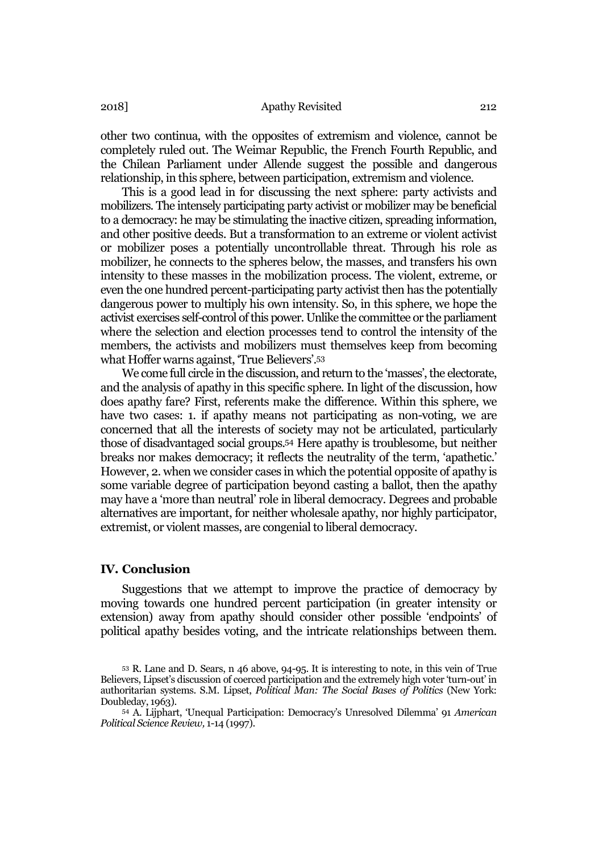other two continua, with the opposites of extremism and violence, cannot be completely ruled out. The Weimar Republic, the French Fourth Republic, and the Chilean Parliament under Allende suggest the possible and dangerous relationship, in this sphere, between participation, extremism and violence.

This is a good lead in for discussing the next sphere: party activists and mobilizers. The intensely participating party activist or mobilizer may be beneficial to a democracy: he may be stimulating the inactive citizen, spreading information, and other positive deeds. But a transformation to an extreme or violent activist or mobilizer poses a potentially uncontrollable threat. Through his role as mobilizer, he connects to the spheres below, the masses, and transfers his own intensity to these masses in the mobilization process. The violent, extreme, or even the one hundred percent-participating party activist then has the potentially dangerous power to multiply his own intensity. So, in this sphere, we hope the activist exercises self-control of this power. Unlike the committee or the parliament where the selection and election processes tend to control the intensity of the members, the activists and mobilizers must themselves keep from becoming what Hoffer warns against, 'True Believers'.53

We come full circle in the discussion, and return to the 'masses', the electorate, and the analysis of apathy in this specific sphere. In light of the discussion, how does apathy fare? First, referents make the difference. Within this sphere, we have two cases: 1. if apathy means not participating as non-voting, we are concerned that all the interests of society may not be articulated, particularly those of disadvantaged social groups.54 Here apathy is troublesome, but neither breaks nor makes democracy; it reflects the neutrality of the term, 'apathetic.' However, 2. when we consider cases in which the potential opposite of apathy is some variable degree of participation beyond casting a ballot, then the apathy may have a 'more than neutral' role in liberal democracy. Degrees and probable alternatives are important, for neither wholesale apathy, nor highly participator, extremist, or violent masses, are congenial to liberal democracy.

## IV. Conclusion

Suggestions that we attempt to improve the practice of democracy by moving towards one hundred percent participation (in greater intensity or extension) away from apathy should consider other possible 'endpoints' of political apathy besides voting, and the intricate relationships between them.

<sup>53</sup> R. Lane and D. Sears, n 46 above, 94-95. It is interesting to note, in this vein of True Believers, Lipset's discussion of coerced participation and the extremely high voter 'turn-out' in authoritarian systems. S.M. Lipset, *Political Man: The Social Bases of Politics* (New York: Doubleday, 1963).

<sup>54</sup> A. Lijphart, 'Unequal Participation: Democracy's Unresolved Dilemma' 91 *American Political Science Review,* 1-14 (1997).